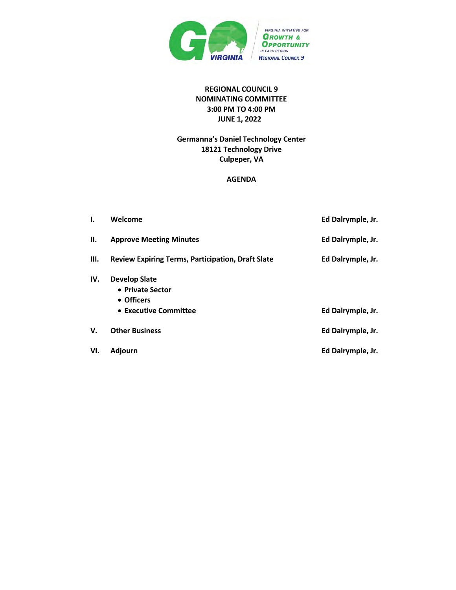

## **REGIONAL COUNCIL 9 NOMINATING COMMITTEE 3:00 PM TO 4:00 PM JUNE 1, 2022**

## **Germanna's Daniel Technology Center 18121 Technology Drive Culpeper, VA**

#### **AGENDA**

| ۱.   | Welcome                                                  | Ed Dalrymple, Jr. |
|------|----------------------------------------------------------|-------------------|
| Н.   | <b>Approve Meeting Minutes</b>                           | Ed Dalrymple, Jr. |
| III. | <b>Review Expiring Terms, Participation, Draft Slate</b> | Ed Dalrymple, Jr. |
| IV.  | <b>Develop Slate</b><br>• Private Sector<br>• Officers   |                   |
|      | • Executive Committee                                    | Ed Dalrymple, Jr. |
| V.   | <b>Other Business</b>                                    | Ed Dalrymple, Jr. |
| VI.  | <b>Adjourn</b>                                           | Ed Dalrymple, Jr. |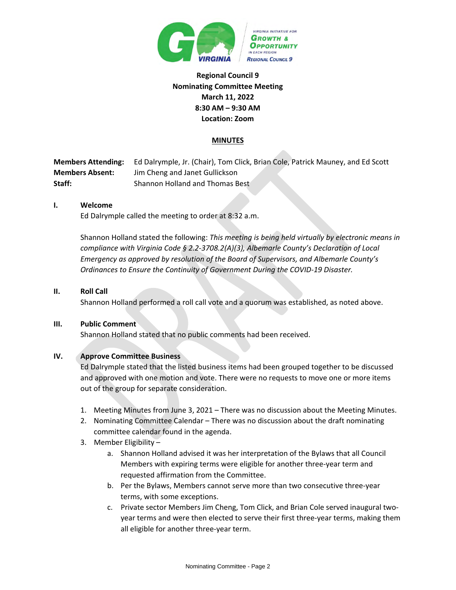

## **Regional Council 9 Nominating Committee Meeting March 11, 2022 8:30 AM – 9:30 AM Location: Zoom**

### **MINUTES**

**Members Attending:** Ed Dalrymple, Jr. (Chair), Tom Click, Brian Cole, Patrick Mauney, and Ed Scott **Members Absent:** Jim Cheng and Janet Gullickson **Staff:** Shannon Holland and Thomas Best

### **I. Welcome**

Ed Dalrymple called the meeting to order at 8:32 a.m.

Shannon Holland stated the following: *This meeting is being held virtually by electronic means in compliance with Virginia Code § 2.2-3708.2(A)(3), Albemarle County's Declaration of Local Emergency as approved by resolution of the Board of Supervisors, and Albemarle County's Ordinances to Ensure the Continuity of Government During the COVID-19 Disaster.*

### **II. Roll Call**

Shannon Holland performed a roll call vote and a quorum was established, as noted above.

### **III. Public Comment**

Shannon Holland stated that no public comments had been received.

### **IV. Approve Committee Business**

Ed Dalrymple stated that the listed business items had been grouped together to be discussed and approved with one motion and vote. There were no requests to move one or more items out of the group for separate consideration.

- 1. Meeting Minutes from June 3, 2021 There was no discussion about the Meeting Minutes.
- 2. Nominating Committee Calendar There was no discussion about the draft nominating committee calendar found in the agenda.
- 3. Member Eligibility
	- a. Shannon Holland advised it was her interpretation of the Bylaws that all Council Members with expiring terms were eligible for another three-year term and requested affirmation from the Committee.
	- b. Per the Bylaws, Members cannot serve more than two consecutive three-year terms, with some exceptions.
	- c. Private sector Members Jim Cheng, Tom Click, and Brian Cole served inaugural twoyear terms and were then elected to serve their first three-year terms, making them all eligible for another three-year term.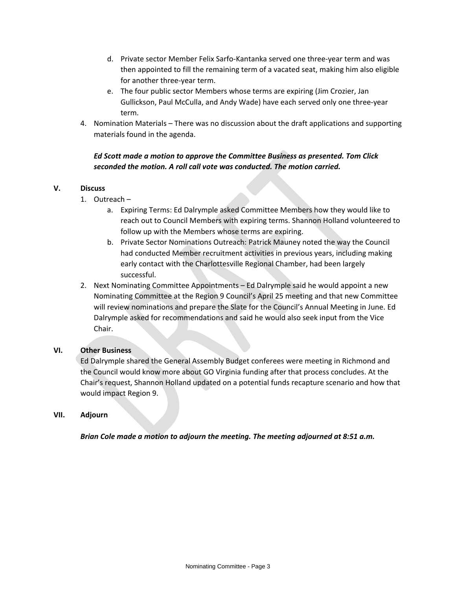- d. Private sector Member Felix Sarfo-Kantanka served one three-year term and was then appointed to fill the remaining term of a vacated seat, making him also eligible for another three-year term.
- e. The four public sector Members whose terms are expiring (Jim Crozier, Jan Gullickson, Paul McCulla, and Andy Wade) have each served only one three-year term.
- 4. Nomination Materials There was no discussion about the draft applications and supporting materials found in the agenda.

## *Ed Scott made a motion to approve the Committee Business as presented. Tom Click seconded the motion. A roll call vote was conducted. The motion carried.*

### **V. Discuss**

- 1. Outreach
	- a. Expiring Terms: Ed Dalrymple asked Committee Members how they would like to reach out to Council Members with expiring terms. Shannon Holland volunteered to follow up with the Members whose terms are expiring.
	- b. Private Sector Nominations Outreach: Patrick Mauney noted the way the Council had conducted Member recruitment activities in previous years, including making early contact with the Charlottesville Regional Chamber, had been largely successful.
- 2. Next Nominating Committee Appointments Ed Dalrymple said he would appoint a new Nominating Committee at the Region 9 Council's April 25 meeting and that new Committee will review nominations and prepare the Slate for the Council's Annual Meeting in June. Ed Dalrymple asked for recommendations and said he would also seek input from the Vice Chair.

### **VI. Other Business**

Ed Dalrymple shared the General Assembly Budget conferees were meeting in Richmond and the Council would know more about GO Virginia funding after that process concludes. At the Chair's request, Shannon Holland updated on a potential funds recapture scenario and how that would impact Region 9.

### **VII. Adjourn**

*Brian Cole made a motion to adjourn the meeting. The meeting adjourned at 8:51 a.m.*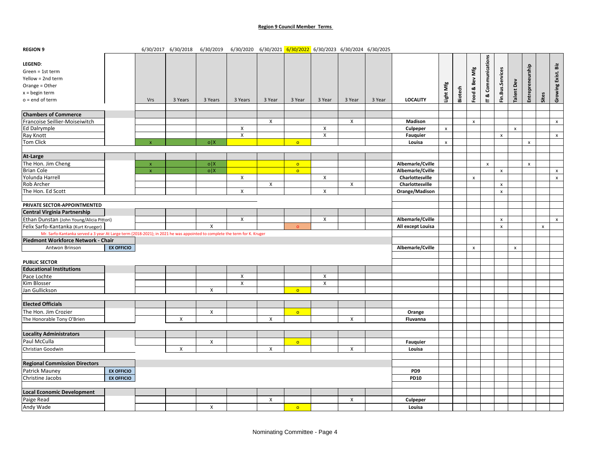#### **Region 9 Council Member Terms**

| <b>REGION 9</b>                                                                                                           |                   |                    | 6/30/2017 6/30/2018 | 6/30/2019    | 6/30/2020    6/30/2021    6/30/2022    6/30/2023    6/30/2024    6/30/2025 |        |           |                           |                |        |                   |                |         |                    |                    |                    |                    |                    |                    |                    |
|---------------------------------------------------------------------------------------------------------------------------|-------------------|--------------------|---------------------|--------------|----------------------------------------------------------------------------|--------|-----------|---------------------------|----------------|--------|-------------------|----------------|---------|--------------------|--------------------|--------------------|--------------------|--------------------|--------------------|--------------------|
|                                                                                                                           |                   |                    |                     |              |                                                                            |        |           |                           |                |        |                   |                |         |                    |                    |                    |                    |                    |                    |                    |
| LEGEND:                                                                                                                   |                   |                    |                     |              |                                                                            |        |           |                           |                |        |                   |                |         |                    |                    |                    |                    |                    |                    | Biz                |
| Green = 1st term                                                                                                          |                   |                    |                     |              |                                                                            |        |           |                           |                |        |                   |                |         |                    |                    |                    |                    |                    |                    |                    |
| Yellow = 2nd term                                                                                                         |                   |                    |                     |              |                                                                            |        |           |                           |                |        |                   |                |         | Bev Mfg            | T & Communications | Fin.Bus.Services   |                    | Entrepreneurship   |                    | Growing Exist.     |
| Orange = Other                                                                                                            |                   |                    |                     |              |                                                                            |        |           |                           |                |        |                   | Light Mfg      |         |                    |                    |                    | alent Dev          |                    |                    |                    |
| $x =$ begin term                                                                                                          |                   |                    |                     |              |                                                                            |        |           |                           |                |        |                   |                | Biotech | Spood:             |                    |                    |                    |                    |                    |                    |
| $o = end of term$                                                                                                         |                   | Vrs                | 3 Years             | 3 Years      | 3 Years                                                                    | 3 Year | 3 Year    | 3 Year                    | 3 Year         | 3 Year | <b>LOCALITY</b>   |                |         |                    |                    |                    |                    |                    | Sites              |                    |
|                                                                                                                           |                   |                    |                     |              |                                                                            |        |           |                           |                |        |                   |                |         |                    |                    |                    |                    |                    |                    |                    |
| <b>Chambers of Commerce</b>                                                                                               |                   |                    |                     |              |                                                                            |        |           |                           |                |        |                   |                |         |                    |                    |                    |                    |                    |                    |                    |
| Francoise Seillier-Moiseiwitch                                                                                            |                   |                    |                     |              |                                                                            | X      |           |                           | X              |        | Madison           |                |         | $\pmb{\mathsf{x}}$ |                    |                    |                    |                    |                    | $\pmb{\mathsf{x}}$ |
| Ed Dalrymple                                                                                                              |                   |                    |                     |              | X                                                                          |        |           | X                         |                |        | Culpeper          | $\pmb{\chi}$   |         |                    |                    |                    | $\pmb{\mathsf{x}}$ |                    |                    |                    |
| Ray Knott                                                                                                                 |                   |                    |                     |              | $\pmb{\mathsf{X}}$                                                         |        |           | X                         |                |        | Fauquier          |                |         |                    |                    | $\pmb{\times}$     |                    |                    |                    | $\mathbf{x}$       |
| Tom Click                                                                                                                 |                   |                    |                     | o X          |                                                                            |        | $\circ$   |                           |                |        | Louisa            | $\pmb{\times}$ |         |                    |                    |                    |                    | $\pmb{\mathsf{x}}$ |                    |                    |
|                                                                                                                           |                   |                    |                     |              |                                                                            |        |           |                           |                |        |                   |                |         |                    |                    |                    |                    |                    |                    |                    |
| At-Large                                                                                                                  |                   |                    |                     |              |                                                                            |        |           |                           |                |        |                   |                |         |                    |                    |                    |                    |                    |                    |                    |
| The Hon. Jim Cheng                                                                                                        |                   | $\mathbf{x}$       |                     | o X          |                                                                            |        | $\circ$   |                           |                |        | Albemarle/Cville  |                |         |                    | $\mathbf{x}$       |                    |                    | $\pmb{\times}$     |                    |                    |
| <b>Brian Cole</b>                                                                                                         |                   | $\bar{\mathbf{x}}$ |                     | o X          |                                                                            |        | $\bullet$ |                           |                |        | Albemarle/Cville  |                |         |                    |                    | $\pmb{\mathsf{x}}$ |                    |                    |                    | $\mathsf{x}$       |
| Yolunda Harrell                                                                                                           |                   |                    |                     |              | $\mathsf{x}$                                                               |        |           | $\boldsymbol{\mathsf{X}}$ |                |        | Charlottesville   |                |         | $\mathsf{x}$       |                    |                    |                    |                    |                    | $\mathbf{x}$       |
| Rob Archer                                                                                                                |                   |                    |                     |              |                                                                            | X      |           |                           | X              |        | Charlottesville   |                |         |                    |                    | $\pmb{\times}$     |                    |                    |                    |                    |
| The Hon. Ed Scott                                                                                                         |                   |                    |                     |              | $\mathsf{X}$                                                               |        |           | X                         |                |        | Orange/Madison    |                |         |                    |                    | $\mathsf{x}$       |                    |                    |                    |                    |
|                                                                                                                           |                   |                    |                     |              |                                                                            |        |           |                           |                |        |                   |                |         |                    |                    |                    |                    |                    |                    |                    |
| PRIVATE SECTOR-APPOINTMENTED                                                                                              |                   |                    |                     |              |                                                                            |        |           |                           |                |        |                   |                |         |                    |                    |                    |                    |                    |                    |                    |
| <b>Central Virginia Partnership</b>                                                                                       |                   |                    |                     |              |                                                                            |        |           |                           |                |        |                   |                |         |                    |                    |                    |                    |                    |                    |                    |
| Ethan Dunstan (John Young/Alicia Pittori)                                                                                 |                   |                    |                     |              | $\pmb{\mathsf{X}}$                                                         |        |           | $\pmb{\times}$            |                |        | Albemarle/Cville  |                |         |                    |                    | $\pmb{\mathsf{x}}$ |                    |                    |                    | $\pmb{\chi}$       |
| Felix Sarfo-Kantanka (Kurt Krueger)                                                                                       |                   |                    |                     | $\pmb{\chi}$ |                                                                            |        | $\circ$   |                           |                |        | All except Louisa |                |         |                    |                    | $\pmb{\mathsf{x}}$ |                    |                    | $\pmb{\mathsf{x}}$ |                    |
| Mr. Sarfo-Kantanka served a 3 year At Large term (2018-2021); in 2021 he was appointed to complete the term for K. Kruger |                   |                    |                     |              |                                                                            |        |           |                           |                |        |                   |                |         |                    |                    |                    |                    |                    |                    |                    |
| Piedmont Workforce Network - Chair                                                                                        |                   |                    |                     |              |                                                                            |        |           |                           |                |        |                   |                |         |                    |                    |                    |                    |                    |                    |                    |
| Antwon Brinson                                                                                                            | <b>EX OFFICIO</b> |                    |                     |              |                                                                            |        |           |                           |                |        | Albemarle/Cville  |                |         | $\pmb{\mathsf{x}}$ |                    |                    | $\pmb{\mathsf{x}}$ |                    |                    |                    |
|                                                                                                                           |                   |                    |                     |              |                                                                            |        |           |                           |                |        |                   |                |         |                    |                    |                    |                    |                    |                    |                    |
| <b>PUBLIC SECTOR</b>                                                                                                      |                   |                    |                     |              |                                                                            |        |           |                           |                |        |                   |                |         |                    |                    |                    |                    |                    |                    |                    |
| <b>Educational Institutions</b>                                                                                           |                   |                    |                     |              |                                                                            |        |           |                           |                |        |                   |                |         |                    |                    |                    |                    |                    |                    |                    |
| Pace Lochte                                                                                                               |                   |                    |                     |              | $\mathsf{X}$                                                               |        |           | $\pmb{\chi}$              |                |        |                   |                |         |                    |                    |                    |                    |                    |                    |                    |
| Kim Blosser                                                                                                               |                   |                    |                     |              | $\pmb{\mathsf{X}}$                                                         |        |           | X                         |                |        |                   |                |         |                    |                    |                    |                    |                    |                    |                    |
| Jan Gullickson                                                                                                            |                   |                    |                     | $\pmb{\chi}$ |                                                                            |        | $\circ$   |                           |                |        |                   |                |         |                    |                    |                    |                    |                    |                    |                    |
|                                                                                                                           |                   |                    |                     |              |                                                                            |        |           |                           |                |        |                   |                |         |                    |                    |                    |                    |                    |                    |                    |
| <b>Elected Officials</b>                                                                                                  |                   |                    |                     |              |                                                                            |        |           |                           |                |        |                   |                |         |                    |                    |                    |                    |                    |                    |                    |
| The Hon. Jim Crozier                                                                                                      |                   |                    |                     | X            |                                                                            |        | $\bullet$ |                           |                |        | Orange            |                |         |                    |                    |                    |                    |                    |                    |                    |
| The Honorable Tony O'Brien                                                                                                |                   |                    | $\pmb{\times}$      |              |                                                                            | X      |           |                           | $\pmb{\times}$ |        | Fluvanna          |                |         |                    |                    |                    |                    |                    |                    |                    |
|                                                                                                                           |                   |                    |                     |              |                                                                            |        |           |                           |                |        |                   |                |         |                    |                    |                    |                    |                    |                    |                    |
| <b>Locality Administrators</b>                                                                                            |                   |                    |                     |              |                                                                            |        |           |                           |                |        |                   |                |         |                    |                    |                    |                    |                    |                    |                    |
| Paul McCulla                                                                                                              |                   |                    |                     | $\mathsf{X}$ |                                                                            |        | $\circ$   |                           |                |        | Fauquier          |                |         |                    |                    |                    |                    |                    |                    |                    |
| Christian Goodwin                                                                                                         |                   |                    | X                   |              |                                                                            | X      |           |                           | X              |        | Louisa            |                |         |                    |                    |                    |                    |                    |                    |                    |
|                                                                                                                           |                   |                    |                     |              |                                                                            |        |           |                           |                |        |                   |                |         |                    |                    |                    |                    |                    |                    |                    |
| <b>Regional Commission Directors</b>                                                                                      |                   |                    |                     |              |                                                                            |        |           |                           |                |        |                   |                |         |                    |                    |                    |                    |                    |                    |                    |
| <b>Patrick Mauney</b>                                                                                                     | <b>EX OFFICIO</b> |                    |                     |              |                                                                            |        |           |                           |                |        | PD9               |                |         |                    |                    |                    |                    |                    |                    |                    |
| Christine Jacobs                                                                                                          | <b>EX OFFICIO</b> |                    |                     |              |                                                                            |        |           |                           |                |        | <b>PD10</b>       |                |         |                    |                    |                    |                    |                    |                    |                    |
|                                                                                                                           |                   |                    |                     |              |                                                                            |        |           |                           |                |        |                   |                |         |                    |                    |                    |                    |                    |                    |                    |
| <b>Local Economic Development</b>                                                                                         |                   |                    |                     |              |                                                                            |        |           |                           |                |        |                   |                |         |                    |                    |                    |                    |                    |                    |                    |
|                                                                                                                           |                   |                    |                     |              |                                                                            |        |           |                           |                |        |                   |                |         |                    |                    |                    |                    |                    |                    |                    |
| Paige Read                                                                                                                |                   |                    |                     |              |                                                                            | X      |           |                           | X              |        | Culpeper          |                |         |                    |                    |                    |                    |                    |                    |                    |
| Andy Wade                                                                                                                 |                   |                    |                     | X            |                                                                            |        | $\circ$   |                           |                |        | Louisa            |                |         |                    |                    |                    |                    |                    |                    |                    |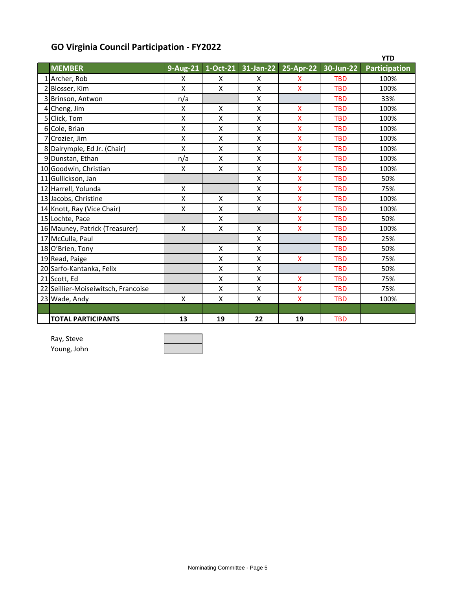# **GO Virginia Council Participation - FY2022**

|                                     |                           |    |                    |                         |            | <b>YTD</b>           |
|-------------------------------------|---------------------------|----|--------------------|-------------------------|------------|----------------------|
| <b>MEMBER</b>                       | 9-Aug-21                  |    | 1-Oct-21 31-Jan-22 | $25-Apr-22$             | 30-Jun-22  | <b>Participation</b> |
| 1 Archer, Rob                       | X                         | X  | X                  | X                       | <b>TBD</b> | 100%                 |
| 2 Blosser, Kim                      | X                         | X  | Χ                  | X                       | <b>TBD</b> | 100%                 |
| 3 Brinson, Antwon                   | n/a                       |    | X                  |                         | <b>TBD</b> | 33%                  |
| 4 Cheng, Jim                        | $\sf X$                   | X  | X                  | X                       | <b>TBD</b> | 100%                 |
| 5 Click, Tom                        | $\mathsf{X}$              | X  | Χ                  | X                       | <b>TBD</b> | 100%                 |
| 6 Cole, Brian                       | X                         | X  | X                  | X                       | <b>TBD</b> | 100%                 |
| 7 Crozier, Jim                      | $\mathsf{X}$              | X  | Χ                  | X                       | <b>TBD</b> | 100%                 |
| 8 Dalrymple, Ed Jr. (Chair)         | $\mathsf{X}$              | X  | Χ                  | X                       | <b>TBD</b> | 100%                 |
| 9 Dunstan, Ethan                    | n/a                       | X  | X                  | X                       | <b>TBD</b> | 100%                 |
| 10 Goodwin, Christian               | X                         | X  | X                  | X                       | <b>TBD</b> | 100%                 |
| 11 Gullickson, Jan                  |                           |    | Χ                  | X                       | <b>TBD</b> | 50%                  |
| 12 Harrell, Yolunda                 | $\boldsymbol{\mathsf{X}}$ |    | X                  | X                       | <b>TBD</b> | 75%                  |
| 13 Jacobs, Christine                | $\mathsf{x}$              | X  | X                  | X                       | <b>TBD</b> | 100%                 |
| 14 Knott, Ray (Vice Chair)          | $\sf X$                   | x  | Χ                  | X                       | <b>TBD</b> | 100%                 |
| 15 Lochte, Pace                     |                           | X  |                    | X                       | <b>TBD</b> | 50%                  |
| 16 Mauney, Patrick (Treasurer)      | X                         | X  | X                  | X                       | <b>TBD</b> | 100%                 |
| 17 McCulla, Paul                    |                           |    | X                  |                         | <b>TBD</b> | 25%                  |
| 18 O'Brien, Tony                    |                           | X  | Χ                  |                         | <b>TBD</b> | 50%                  |
| 19 Read, Paige                      |                           | X  | X                  | $\overline{\mathsf{x}}$ | <b>TBD</b> | 75%                  |
| 20 Sarfo-Kantanka, Felix            |                           | X  | X                  |                         | <b>TBD</b> | 50%                  |
| 21 Scott, Ed                        |                           | Χ  | X                  | X                       | <b>TBD</b> | 75%                  |
| 22 Seillier-Moiseiwitsch, Francoise |                           | X  | Χ                  | X                       | <b>TBD</b> | 75%                  |
| 23 Wade, Andy                       | $\boldsymbol{\mathsf{X}}$ | X  | Χ                  | $\overline{\mathsf{X}}$ | <b>TBD</b> | 100%                 |
|                                     |                           |    |                    |                         |            |                      |
| <b>TOTAL PARTICIPANTS</b>           | 13                        | 19 | 22                 | 19                      | <b>TBD</b> |                      |

Ray, Steve Young, John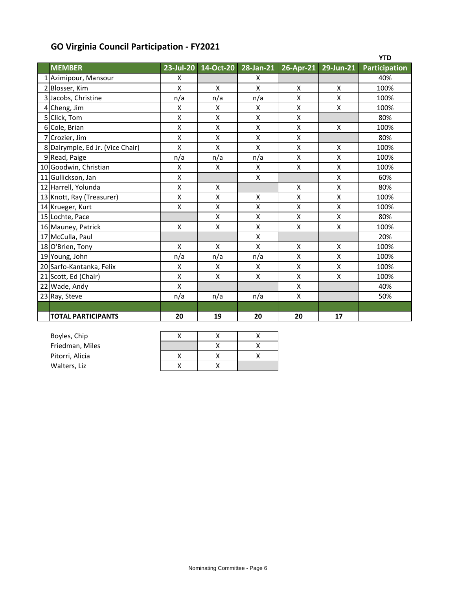# **GO Virginia Council Participation - FY2021**

|                                  |                         |                         |           |                         |                 | <b>YTD</b>           |
|----------------------------------|-------------------------|-------------------------|-----------|-------------------------|-----------------|----------------------|
| <b>MEMBER</b>                    | 23-Jul-20               | 14-Oct-20               | 28-Jan-21 | $26$ -Apr-21            | 29-Jun-21       | <b>Participation</b> |
| 1 Azimipour, Mansour             | X                       |                         | X         |                         |                 | 40%                  |
| 2 Blosser, Kim                   | X                       | X                       | X         | $\mathsf{x}$            | $\mathsf{x}$    | 100%                 |
| 3 Jacobs, Christine              | n/a                     | n/a                     | n/a       | $\pmb{\mathsf{X}}$      | X               | 100%                 |
| 4 Cheng, Jim                     | $\mathsf{\chi}$         | X                       | X         | $\pmb{\mathsf{X}}$      | $\mathsf{\chi}$ | 100%                 |
| 5 Click, Tom                     | $\pmb{\mathsf{X}}$      | $\pmb{\mathsf{X}}$      | X         | $\pmb{\mathsf{X}}$      |                 | 80%                  |
| 6 Cole, Brian                    | $\sf X$                 | $\overline{\mathsf{X}}$ | X         | $\mathsf{\chi}$         | $\mathsf{x}$    | 100%                 |
| 7 Crozier, Jim                   | $\pmb{\mathsf{X}}$      | X                       | X         | $\pmb{\mathsf{X}}$      |                 | 80%                  |
| 8 Dalrymple, Ed Jr. (Vice Chair) | $\mathsf{\chi}$         | X                       | X         | X                       | X               | 100%                 |
| 9 Read, Paige                    | n/a                     | n/a                     | n/a       | $\pmb{\chi}$            | $\mathsf{x}$    | 100%                 |
| 10 Goodwin, Christian            | $\sf X$                 | X                       | X         | $\pmb{\mathsf{X}}$      | $\mathsf{x}$    | 100%                 |
| 11 Gullickson, Jan               | X                       |                         | X         |                         | $\mathsf{x}$    | 60%                  |
| 12 Harrell, Yolunda              | $\mathsf{\chi}$         | X                       |           | X                       | $\mathsf{\chi}$ | 80%                  |
| 13 Knott, Ray (Treasurer)        | $\pmb{\mathsf{X}}$      | X                       | X         | $\pmb{\chi}$            | $\mathsf{\chi}$ | 100%                 |
| 14 Krueger, Kurt                 | $\mathsf{\chi}$         | X                       | X         | $\mathsf{\overline{X}}$ | $\sf X$         | 100%                 |
| 15 Lochte, Pace                  |                         | $\pmb{\mathsf{X}}$      | Χ         | $\pmb{\mathsf{X}}$      | $\mathsf{X}$    | 80%                  |
| 16 Mauney, Patrick               | $\pmb{\mathsf{X}}$      | X                       | Χ         | X                       | $\mathsf{X}$    | 100%                 |
| 17 McCulla, Paul                 |                         |                         | X         |                         |                 | 20%                  |
| 18 O'Brien, Tony                 | $\mathsf{x}$            | X                       | X         | $\mathsf{X}$            | $\mathsf{x}$    | 100%                 |
| 19 Young, John                   | n/a                     | n/a                     | n/a       | X                       | X               | 100%                 |
| 20 Sarfo-Kantanka, Felix         | $\mathsf{\chi}$         | X                       | X         | $\pmb{\mathsf{X}}$      | $\mathsf{X}$    | 100%                 |
| 21 Scott, Ed (Chair)             | $\pmb{\mathsf{X}}$      | $\pmb{\mathsf{X}}$      | Χ         | $\pmb{\mathsf{X}}$      | $\mathsf{X}$    | 100%                 |
| 22 Wade, Andy                    | $\overline{\mathsf{X}}$ |                         |           | X                       |                 | 40%                  |
| 23 Ray, Steve                    | n/a                     | n/a                     | n/a       | $\pmb{\chi}$            |                 | 50%                  |
|                                  |                         |                         |           |                         |                 |                      |
| <b>TOTAL PARTICIPANTS</b>        | 20                      | 19                      | 20        | 20                      | 17              |                      |

| Boyles, Chip    |  |  |
|-----------------|--|--|
| Friedman, Miles |  |  |
| Pitorri, Alicia |  |  |
| Walters, Liz    |  |  |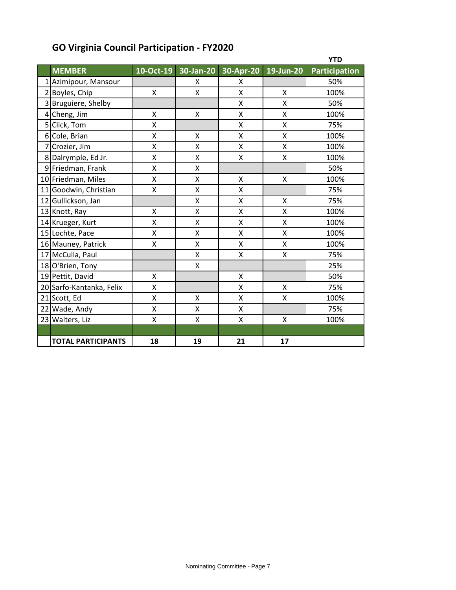|                           |           |           |           |           | <b>YTD</b>           |
|---------------------------|-----------|-----------|-----------|-----------|----------------------|
| <b>MEMBER</b>             | 10-Oct-19 | 30-Jan-20 | 30-Apr-20 | 19-Jun-20 | <b>Participation</b> |
| 1 Azimipour, Mansour      |           | x         | X         |           | 50%                  |
| 2 Boyles, Chip            | Χ         | Χ         | Χ         | X         | 100%                 |
| 3 Bruguiere, Shelby       |           |           | Χ         | X         | 50%                  |
| 4 Cheng, Jim              | X         | X         | X         | X         | 100%                 |
| 5 Click, Tom              | X         |           | X         | X         | 75%                  |
| 6 Cole, Brian             | X         | X         | X         | X         | 100%                 |
| 7 Crozier, Jim            | X         | Χ         | X         | X         | 100%                 |
| 8 Dalrymple, Ed Jr.       | Χ         | Χ         | Χ         | Χ         | 100%                 |
| 9 Friedman, Frank         | X         | Χ         |           |           | 50%                  |
| 10 Friedman, Miles        | X         | Χ         | X         | X         | 100%                 |
| 11 Goodwin, Christian     | Χ         | Χ         | X         |           | 75%                  |
| 12 Gullickson, Jan        |           | X         | X         | X         | 75%                  |
| 13 Knott, Ray             | Χ         | Χ         | X         | Χ         | 100%                 |
| 14 Krueger, Kurt          | X         | X         | X         | X         | 100%                 |
| 15 Lochte, Pace           | X         | Χ         | X         | X         | 100%                 |
| 16 Mauney, Patrick        | Χ         | X         | X         | X         | 100%                 |
| 17 McCulla, Paul          |           | X         | X         | X         | 75%                  |
| 18 O'Brien, Tony          |           | Χ         |           |           | 25%                  |
| 19 Pettit, David          | X         |           | Χ         |           | 50%                  |
| 20 Sarfo-Kantanka, Felix  | Χ         |           | Χ         | X         | 75%                  |
| 21 Scott, Ed              | Χ         | X         | Χ         | X         | 100%                 |
| 22 Wade, Andy             | X         | Χ         | X         |           | 75%                  |
| 23 Walters, Liz           | X         | Χ         | X         | X         | 100%                 |
|                           |           |           |           |           |                      |
| <b>TOTAL PARTICIPANTS</b> | 18        | 19        | 21        | 17        |                      |

## **GO Virginia Council Participation - FY2020**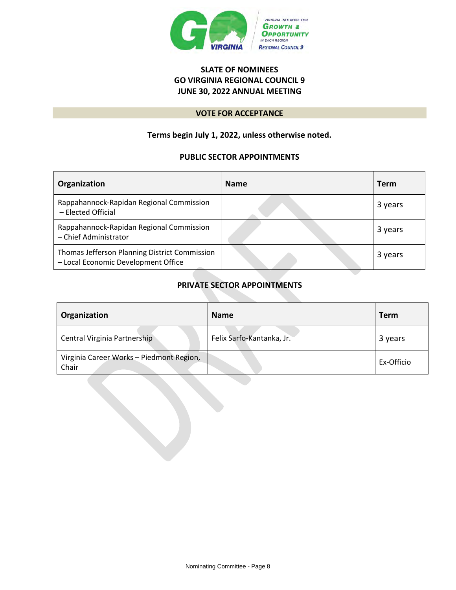

## **SLATE OF NOMINEES GO VIRGINIA REGIONAL COUNCIL 9 JUNE 30, 2022 ANNUAL MEETING**

### **VOTE FOR ACCEPTANCE**

## **Terms begin July 1, 2022, unless otherwise noted.**

## **PUBLIC SECTOR APPOINTMENTS**

| Organization                                                                         | <b>Name</b> | <b>Term</b> |
|--------------------------------------------------------------------------------------|-------------|-------------|
| Rappahannock-Rapidan Regional Commission<br>- Elected Official                       |             | 3 years     |
| Rappahannock-Rapidan Regional Commission<br>- Chief Administrator                    |             | 3 years     |
| Thomas Jefferson Planning District Commission<br>- Local Economic Development Office |             | 3 years     |

## **PRIVATE SECTOR APPOINTMENTS**

| Organization                                      | <b>Name</b>               | <b>Term</b> |
|---------------------------------------------------|---------------------------|-------------|
| Central Virginia Partnership                      | Felix Sarfo-Kantanka, Jr. | 3 years     |
| Virginia Career Works - Piedmont Region,<br>Chair |                           | Ex-Officio  |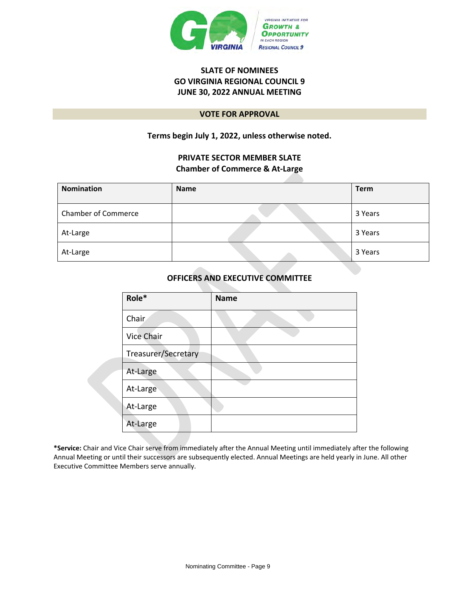

## **SLATE OF NOMINEES GO VIRGINIA REGIONAL COUNCIL 9 JUNE 30, 2022 ANNUAL MEETING**

#### **VOTE FOR APPROVAL**

## **Terms begin July 1, 2022, unless otherwise noted.**

## **PRIVATE SECTOR MEMBER SLATE Chamber of Commerce & At-Large**

| <b>Nomination</b>          | <b>Name</b> | <b>Term</b> |
|----------------------------|-------------|-------------|
| <b>Chamber of Commerce</b> |             | 3 Years     |
| At-Large                   |             | 3 Years     |
| At-Large                   |             | 3 Years     |

## **OFFICERS AND EXECUTIVE COMMITTEE**

| Role*               | <b>Name</b> |
|---------------------|-------------|
| Chair               |             |
| <b>Vice Chair</b>   |             |
| Treasurer/Secretary |             |
| At-Large            |             |
| At-Large            |             |
| At-Large            |             |
| At-Large            |             |

**\*Service:** Chair and Vice Chair serve from immediately after the Annual Meeting until immediately after the following Annual Meeting or until their successors are subsequently elected. Annual Meetings are held yearly in June. All other Executive Committee Members serve annually.